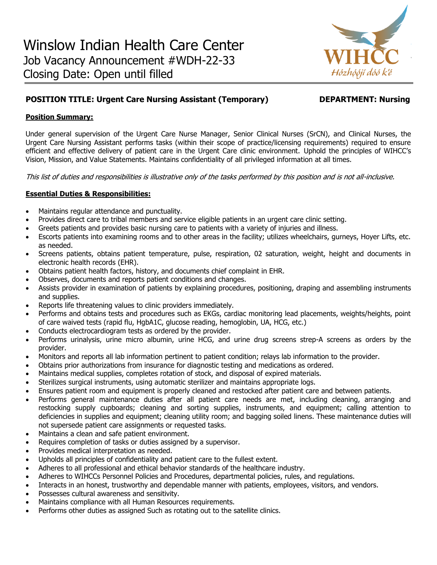

# **POSITION TITLE: Urgent Care Nursing Assistant (Temporary) DEPARTMENT: Nursing**

## **Position Summary:**

Under general supervision of the Urgent Care Nurse Manager, Senior Clinical Nurses (SrCN), and Clinical Nurses, the Urgent Care Nursing Assistant performs tasks (within their scope of practice/licensing requirements) required to ensure efficient and effective delivery of patient care in the Urgent Care clinic environment. Uphold the principles of WIHCC's Vision, Mission, and Value Statements. Maintains confidentiality of all privileged information at all times.

This list of duties and responsibilities is illustrative only of the tasks performed by this position and is not all-inclusive.

# **Essential Duties & Responsibilities:**

- Maintains regular attendance and punctuality.
- Provides direct care to tribal members and service eligible patients in an urgent care clinic setting.
- Greets patients and provides basic nursing care to patients with a variety of injuries and illness.
- Escorts patients into examining rooms and to other areas in the facility; utilizes wheelchairs, gurneys, Hoyer Lifts, etc. as needed.
- Screens patients, obtains patient temperature, pulse, respiration, 02 saturation, weight, height and documents in electronic health records (EHR).
- Obtains patient health factors, history, and documents chief complaint in EHR.
- Observes, documents and reports patient conditions and changes.
- Assists provider in examination of patients by explaining procedures, positioning, draping and assembling instruments and supplies.
- Reports life threatening values to clinic providers immediately.
- Performs and obtains tests and procedures such as EKGs, cardiac monitoring lead placements, weights/heights, point of care waived tests (rapid flu, HgbA1C, glucose reading, hemoglobin, UA, HCG, etc.)
- Conducts electrocardiogram tests as ordered by the provider.
- Performs urinalysis, urine micro albumin, urine HCG, and urine drug screens strep-A screens as orders by the provider.
- Monitors and reports all lab information pertinent to patient condition; relays lab information to the provider.
- Obtains prior authorizations from insurance for diagnostic testing and medications as ordered.
- Maintains medical supplies, completes rotation of stock, and disposal of expired materials.
- Sterilizes surgical instruments, using automatic sterilizer and maintains appropriate logs.
- Ensures patient room and equipment is properly cleaned and restocked after patient care and between patients.
- Performs general maintenance duties after all patient care needs are met, including cleaning, arranging and restocking supply cupboards; cleaning and sorting supplies, instruments, and equipment; calling attention to deficiencies in supplies and equipment; cleaning utility room; and bagging soiled linens. These maintenance duties will not supersede patient care assignments or requested tasks.
- Maintains a clean and safe patient environment.
- Requires completion of tasks or duties assigned by a supervisor.
- Provides medical interpretation as needed.
- Upholds all principles of confidentiality and patient care to the fullest extent.
- Adheres to all professional and ethical behavior standards of the healthcare industry.
- Adheres to WIHCCs Personnel Policies and Procedures, departmental policies, rules, and regulations.
- Interacts in an honest, trustworthy and dependable manner with patients, employees, visitors, and vendors.
- Possesses cultural awareness and sensitivity.
- Maintains compliance with all Human Resources requirements.
- Performs other duties as assigned Such as rotating out to the satellite clinics.